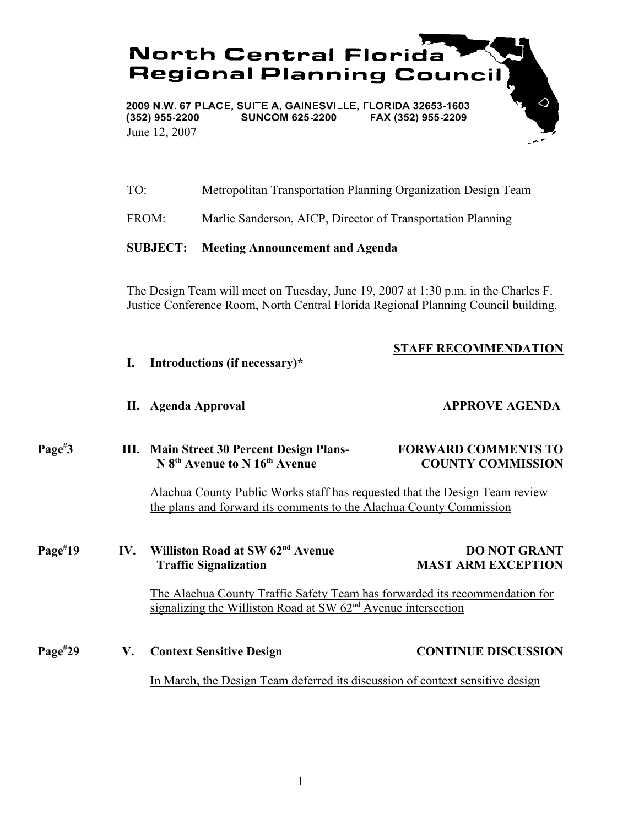

| TO: | Metropolitan Transportation Planning Organization Design Team |  |  |
|-----|---------------------------------------------------------------|--|--|
|     |                                                               |  |  |

FROM: Marlie Sanderson, AICP, Director of Transportation Planning

## **SUBJECT: Meeting Announcement and Agenda**

The Design Team will meet on Tuesday, June 19, 2007 at 1:30 p.m. in the Charles F. Justice Conference Room, North Central Florida Regional Planning Council building.

# **STAFF RECOMMENDATION**

- **I. Introductions (if necessary)\***
- **II. Agenda Approval APPROVE AGENDA**

#### **Page# 3 III. Main Street 30 Percent Design Plans- FORWARD COMMENTS TO N 8<sup>th</sup> Avenue to N 16<sup>th</sup> Avenue COUNTY COMMISSION**

Alachua County Public Works staff has requested that the Design Team review the plans and forward its comments to the Alachua County Commission

### **Page# 1V.** Williston Road at SW 62<sup>nd</sup> Avenue **DO NOT GRANT Traffic Signalization** MAST ARM EXCEPTION

The Alachua County Traffic Safety Team has forwarded its recommendation for signalizing the Williston Road at  $SW 62<sup>nd</sup>$  Avenue intersection

#### **Page# 29 V. Context Sensitive Design CONTINUE DISCUSSION**

In March, the Design Team deferred its discussion of context sensitive design